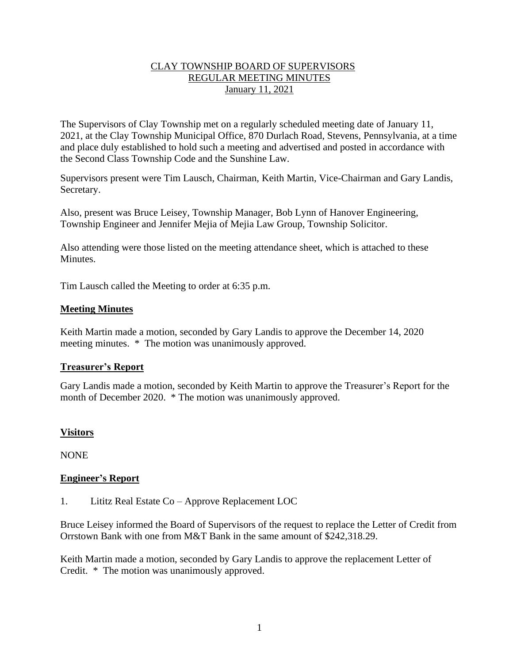# CLAY TOWNSHIP BOARD OF SUPERVISORS REGULAR MEETING MINUTES January 11, 2021

The Supervisors of Clay Township met on a regularly scheduled meeting date of January 11, 2021, at the Clay Township Municipal Office, 870 Durlach Road, Stevens, Pennsylvania, at a time and place duly established to hold such a meeting and advertised and posted in accordance with the Second Class Township Code and the Sunshine Law.

Supervisors present were Tim Lausch, Chairman, Keith Martin, Vice-Chairman and Gary Landis, Secretary.

Also, present was Bruce Leisey, Township Manager, Bob Lynn of Hanover Engineering, Township Engineer and Jennifer Mejia of Mejia Law Group, Township Solicitor.

Also attending were those listed on the meeting attendance sheet, which is attached to these Minutes.

Tim Lausch called the Meeting to order at 6:35 p.m.

## **Meeting Minutes**

Keith Martin made a motion, seconded by Gary Landis to approve the December 14, 2020 meeting minutes. \* The motion was unanimously approved.

#### **Treasurer's Report**

Gary Landis made a motion, seconded by Keith Martin to approve the Treasurer's Report for the month of December 2020. \* The motion was unanimously approved.

# **Visitors**

NONE

#### **Engineer's Report**

1. Lititz Real Estate Co – Approve Replacement LOC

Bruce Leisey informed the Board of Supervisors of the request to replace the Letter of Credit from Orrstown Bank with one from M&T Bank in the same amount of \$242,318.29.

Keith Martin made a motion, seconded by Gary Landis to approve the replacement Letter of Credit. \* The motion was unanimously approved.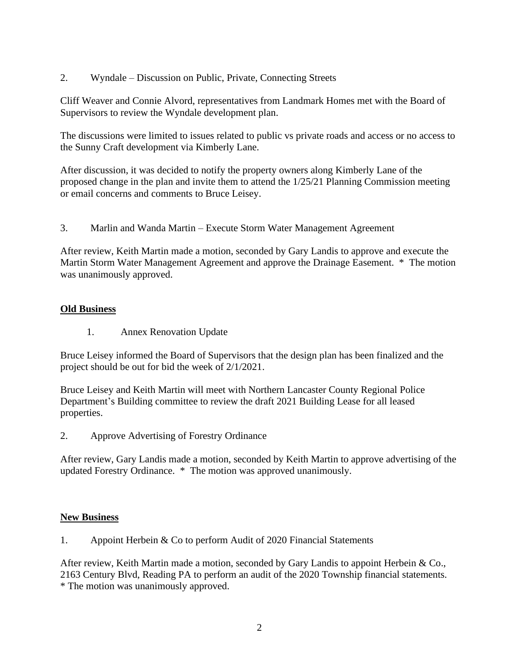2. Wyndale – Discussion on Public, Private, Connecting Streets

Cliff Weaver and Connie Alvord, representatives from Landmark Homes met with the Board of Supervisors to review the Wyndale development plan.

The discussions were limited to issues related to public vs private roads and access or no access to the Sunny Craft development via Kimberly Lane.

After discussion, it was decided to notify the property owners along Kimberly Lane of the proposed change in the plan and invite them to attend the 1/25/21 Planning Commission meeting or email concerns and comments to Bruce Leisey.

3. Marlin and Wanda Martin – Execute Storm Water Management Agreement

After review, Keith Martin made a motion, seconded by Gary Landis to approve and execute the Martin Storm Water Management Agreement and approve the Drainage Easement. \* The motion was unanimously approved.

#### **Old Business**

1. Annex Renovation Update

Bruce Leisey informed the Board of Supervisors that the design plan has been finalized and the project should be out for bid the week of 2/1/2021.

Bruce Leisey and Keith Martin will meet with Northern Lancaster County Regional Police Department's Building committee to review the draft 2021 Building Lease for all leased properties.

2. Approve Advertising of Forestry Ordinance

After review, Gary Landis made a motion, seconded by Keith Martin to approve advertising of the updated Forestry Ordinance. \* The motion was approved unanimously.

#### **New Business**

1. Appoint Herbein & Co to perform Audit of 2020 Financial Statements

After review, Keith Martin made a motion, seconded by Gary Landis to appoint Herbein & Co., 2163 Century Blvd, Reading PA to perform an audit of the 2020 Township financial statements. \* The motion was unanimously approved.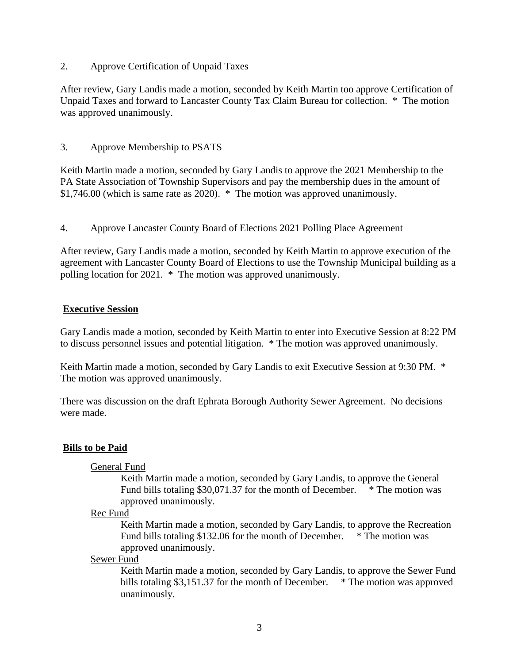2. Approve Certification of Unpaid Taxes

After review, Gary Landis made a motion, seconded by Keith Martin too approve Certification of Unpaid Taxes and forward to Lancaster County Tax Claim Bureau for collection. \* The motion was approved unanimously.

## 3. Approve Membership to PSATS

Keith Martin made a motion, seconded by Gary Landis to approve the 2021 Membership to the PA State Association of Township Supervisors and pay the membership dues in the amount of \$1,746.00 (which is same rate as 2020). \* The motion was approved unanimously.

4. Approve Lancaster County Board of Elections 2021 Polling Place Agreement

After review, Gary Landis made a motion, seconded by Keith Martin to approve execution of the agreement with Lancaster County Board of Elections to use the Township Municipal building as a polling location for 2021. \* The motion was approved unanimously.

#### **Executive Session**

Gary Landis made a motion, seconded by Keith Martin to enter into Executive Session at 8:22 PM to discuss personnel issues and potential litigation. \* The motion was approved unanimously.

Keith Martin made a motion, seconded by Gary Landis to exit Executive Session at 9:30 PM. \* The motion was approved unanimously.

There was discussion on the draft Ephrata Borough Authority Sewer Agreement. No decisions were made.

## **Bills to be Paid**

#### General Fund

Keith Martin made a motion, seconded by Gary Landis, to approve the General Fund bills totaling \$30,071.37 for the month of December. \* The motion was approved unanimously.

#### Rec Fund

Keith Martin made a motion, seconded by Gary Landis, to approve the Recreation Fund bills totaling \$132.06 for the month of December. \* The motion was approved unanimously.

#### Sewer Fund

Keith Martin made a motion, seconded by Gary Landis, to approve the Sewer Fund bills totaling \$3,151.37 for the month of December. \* The motion was approved unanimously.